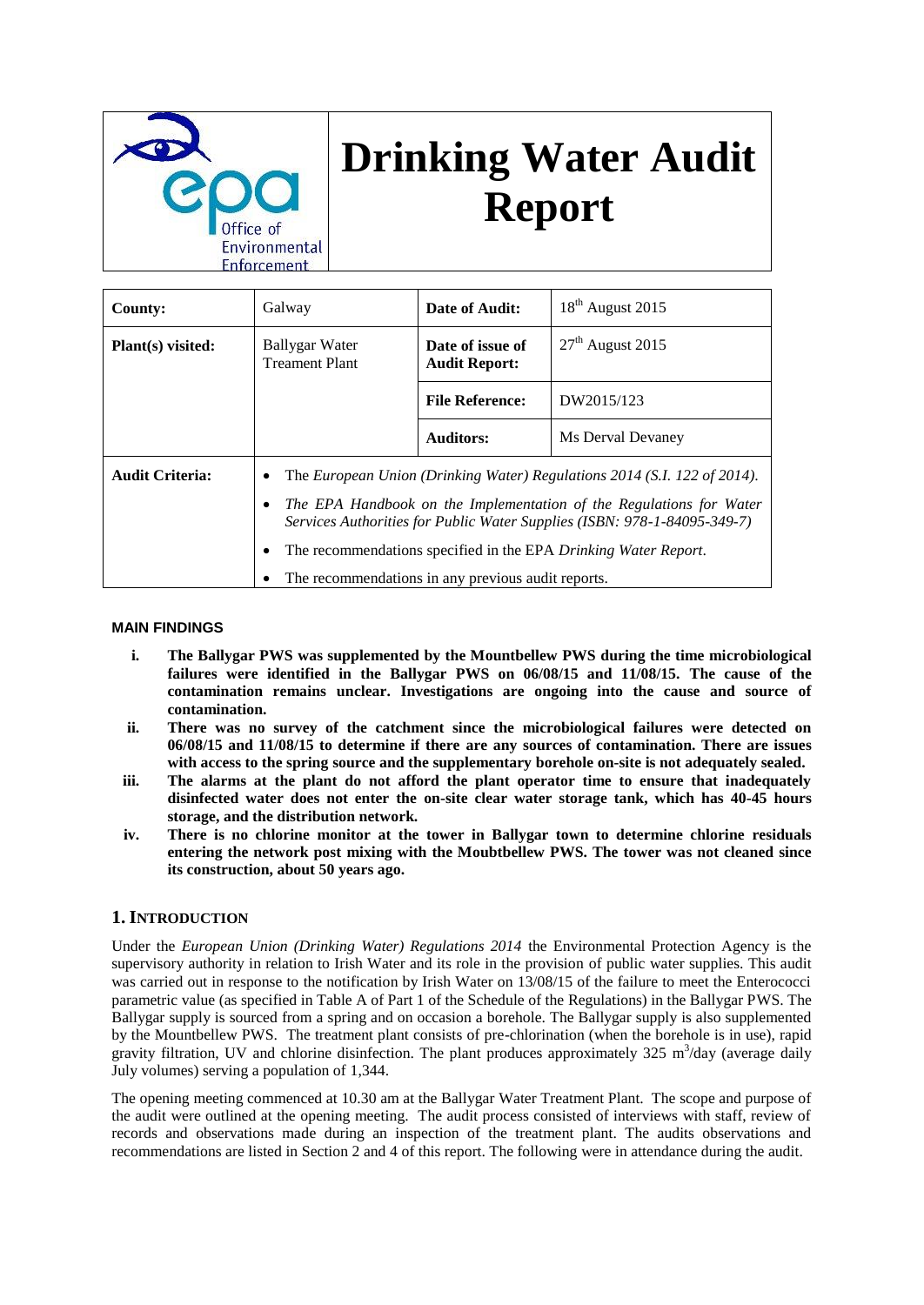

# **Drinking Water Audit Report**

| <b>County:</b>         | Galway                                                                 | Date of Audit:                           | $18th$ August 2015                                                                                                                                                                                                                                                                             |
|------------------------|------------------------------------------------------------------------|------------------------------------------|------------------------------------------------------------------------------------------------------------------------------------------------------------------------------------------------------------------------------------------------------------------------------------------------|
| Plant(s) visited:      | Ballygar Water<br><b>Treament Plant</b>                                | Date of issue of<br><b>Audit Report:</b> | $27th$ August 2015                                                                                                                                                                                                                                                                             |
|                        |                                                                        | <b>File Reference:</b>                   | DW2015/123                                                                                                                                                                                                                                                                                     |
|                        |                                                                        | <b>Auditors:</b>                         | Ms Derval Devaney                                                                                                                                                                                                                                                                              |
| <b>Audit Criteria:</b> | ٠<br>٠<br>٠<br>The recommendations in any previous audit reports.<br>٠ |                                          | The European Union (Drinking Water) Regulations 2014 (S.I. 122 of 2014).<br>The EPA Handbook on the Implementation of the Regulations for Water<br>Services Authorities for Public Water Supplies (ISBN: 978-1-84095-349-7)<br>The recommendations specified in the EPA Drinking Water Report. |

#### **MAIN FINDINGS**

- **i. The Ballygar PWS was supplemented by the Mountbellew PWS during the time microbiological failures were identified in the Ballygar PWS on 06/08/15 and 11/08/15. The cause of the contamination remains unclear. Investigations are ongoing into the cause and source of contamination.**
- **ii. There was no survey of the catchment since the microbiological failures were detected on 06/08/15 and 11/08/15 to determine if there are any sources of contamination. There are issues with access to the spring source and the supplementary borehole on-site is not adequately sealed.**
- **iii. The alarms at the plant do not afford the plant operator time to ensure that inadequately disinfected water does not enter the on-site clear water storage tank, which has 40-45 hours storage, and the distribution network.**
- **iv. There is no chlorine monitor at the tower in Ballygar town to determine chlorine residuals entering the network post mixing with the Moubtbellew PWS. The tower was not cleaned since its construction, about 50 years ago.**

### **1. INTRODUCTION**

Under the *European Union (Drinking Water) Regulations 2014* the Environmental Protection Agency is the supervisory authority in relation to Irish Water and its role in the provision of public water supplies. This audit was carried out in response to the notification by Irish Water on  $13/08/15$  of the failure to meet the Enterococci parametric value (as specified in Table A of Part 1 of the Schedule of the Regulations) in the Ballygar PWS. The Ballygar supply is sourced from a spring and on occasion a borehole. The Ballygar supply is also supplemented by the Mountbellew PWS. The treatment plant consists of pre-chlorination (when the borehole is in use), rapid gravity filtration, UV and chlorine disinfection. The plant produces approximately 325 m<sup>3</sup>/day (average daily July volumes) serving a population of 1,344.

The opening meeting commenced at 10.30 am at the Ballygar Water Treatment Plant. The scope and purpose of the audit were outlined at the opening meeting. The audit process consisted of interviews with staff, review of records and observations made during an inspection of the treatment plant. The audits observations and recommendations are listed in Section 2 and 4 of this report. The following were in attendance during the audit.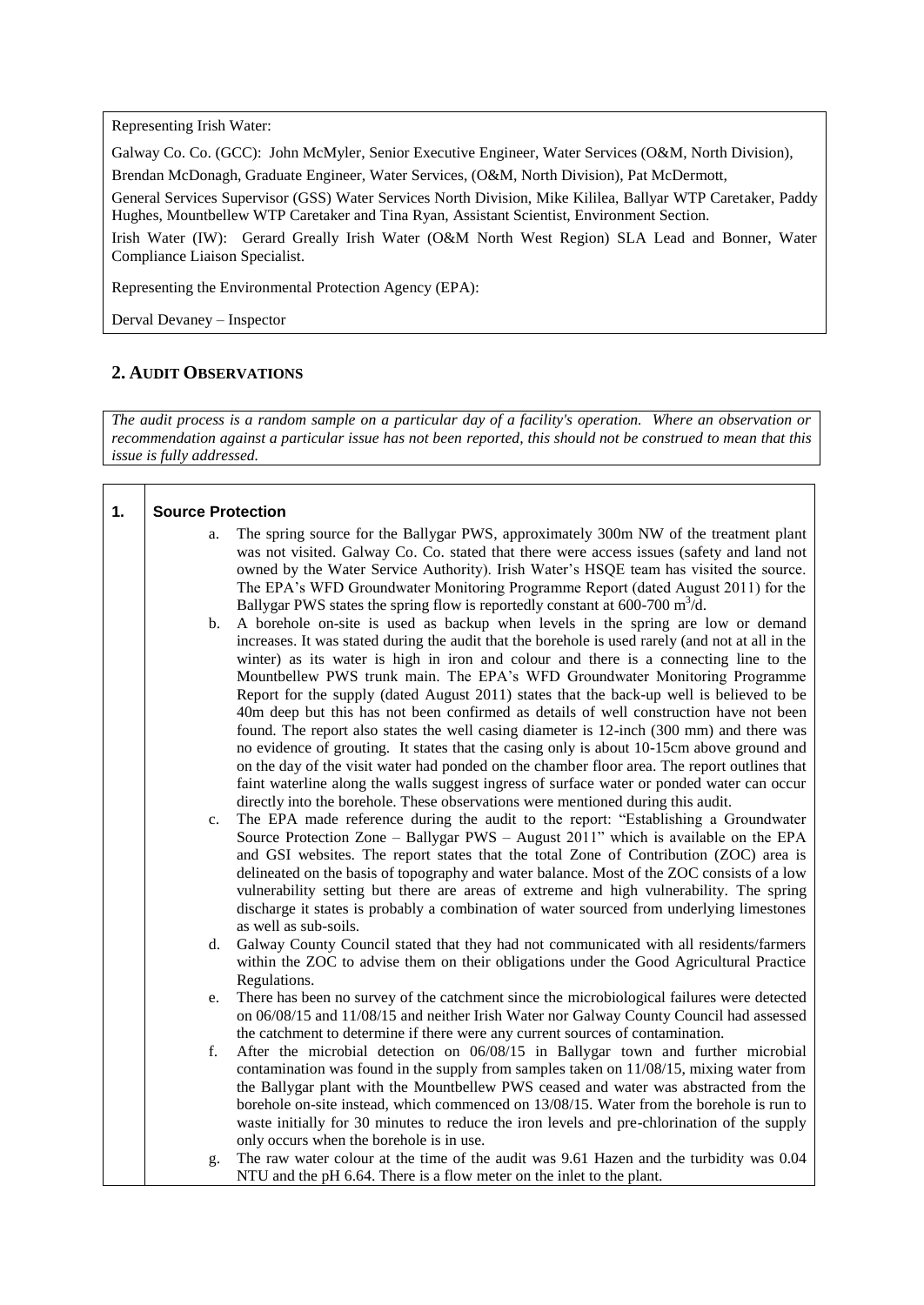Representing Irish Water:

Galway Co. Co. (GCC): John McMyler, Senior Executive Engineer, Water Services (O&M, North Division),

Brendan McDonagh, Graduate Engineer, Water Services, (O&M, North Division), Pat McDermott,

General Services Supervisor (GSS) Water Services North Division, Mike Kililea, Ballyar WTP Caretaker, Paddy Hughes, Mountbellew WTP Caretaker and Tina Ryan, Assistant Scientist, Environment Section.

Irish Water (IW): Gerard Greally Irish Water (O&M North West Region) SLA Lead and Bonner, Water Compliance Liaison Specialist.

Representing the Environmental Protection Agency (EPA):

Derval Devaney – Inspector

## **2. AUDIT OBSERVATIONS**

*The audit process is a random sample on a particular day of a facility's operation. Where an observation or recommendation against a particular issue has not been reported, this should not be construed to mean that this issue is fully addressed.*

| 1. | <b>Source Protection</b> |                                                                                                                                                                                                                                                                                                                                                                                                                                                                                                                                                                                                                                                                                                                                                                                                                                                                                                                                                                                                                                                                                                                                                                                                                                                                                                    |
|----|--------------------------|----------------------------------------------------------------------------------------------------------------------------------------------------------------------------------------------------------------------------------------------------------------------------------------------------------------------------------------------------------------------------------------------------------------------------------------------------------------------------------------------------------------------------------------------------------------------------------------------------------------------------------------------------------------------------------------------------------------------------------------------------------------------------------------------------------------------------------------------------------------------------------------------------------------------------------------------------------------------------------------------------------------------------------------------------------------------------------------------------------------------------------------------------------------------------------------------------------------------------------------------------------------------------------------------------|
|    | a.                       | The spring source for the Ballygar PWS, approximately 300m NW of the treatment plant<br>was not visited. Galway Co. Co. stated that there were access issues (safety and land not<br>owned by the Water Service Authority). Irish Water's HSQE team has visited the source.<br>The EPA's WFD Groundwater Monitoring Programme Report (dated August 2011) for the<br>Ballygar PWS states the spring flow is reportedly constant at 600-700 $m^3/d$ .                                                                                                                                                                                                                                                                                                                                                                                                                                                                                                                                                                                                                                                                                                                                                                                                                                                |
|    | b.<br>c.                 | A borehole on-site is used as backup when levels in the spring are low or demand<br>increases. It was stated during the audit that the borehole is used rarely (and not at all in the<br>winter) as its water is high in iron and colour and there is a connecting line to the<br>Mountbellew PWS trunk main. The EPA's WFD Groundwater Monitoring Programme<br>Report for the supply (dated August 2011) states that the back-up well is believed to be<br>40m deep but this has not been confirmed as details of well construction have not been<br>found. The report also states the well casing diameter is 12-inch (300 mm) and there was<br>no evidence of grouting. It states that the casing only is about 10-15cm above ground and<br>on the day of the visit water had ponded on the chamber floor area. The report outlines that<br>faint waterline along the walls suggest ingress of surface water or ponded water can occur<br>directly into the borehole. These observations were mentioned during this audit.<br>The EPA made reference during the audit to the report: "Establishing a Groundwater<br>Source Protection Zone – Ballygar PWS – August 2011" which is available on the EPA<br>and GSI websites. The report states that the total Zone of Contribution (ZOC) area is |
|    |                          | delineated on the basis of topography and water balance. Most of the ZOC consists of a low<br>vulnerability setting but there are areas of extreme and high vulnerability. The spring<br>discharge it states is probably a combination of water sourced from underlying limestones<br>as well as sub-soils.                                                                                                                                                                                                                                                                                                                                                                                                                                                                                                                                                                                                                                                                                                                                                                                                                                                                                                                                                                                        |
|    | d.                       | Galway County Council stated that they had not communicated with all residents/farmers<br>within the ZOC to advise them on their obligations under the Good Agricultural Practice<br>Regulations.                                                                                                                                                                                                                                                                                                                                                                                                                                                                                                                                                                                                                                                                                                                                                                                                                                                                                                                                                                                                                                                                                                  |
|    | e.                       | There has been no survey of the catchment since the microbiological failures were detected<br>on 06/08/15 and 11/08/15 and neither Irish Water nor Galway County Council had assessed<br>the catchment to determine if there were any current sources of contamination.                                                                                                                                                                                                                                                                                                                                                                                                                                                                                                                                                                                                                                                                                                                                                                                                                                                                                                                                                                                                                            |
|    | f.                       | After the microbial detection on 06/08/15 in Ballygar town and further microbial<br>contamination was found in the supply from samples taken on $11/08/15$ , mixing water from<br>the Ballygar plant with the Mountbellew PWS ceased and water was abstracted from the<br>borehole on-site instead, which commenced on 13/08/15. Water from the borehole is run to<br>waste initially for 30 minutes to reduce the iron levels and pre-chlorination of the supply<br>only occurs when the borehole is in use.                                                                                                                                                                                                                                                                                                                                                                                                                                                                                                                                                                                                                                                                                                                                                                                      |
|    | g.                       | The raw water colour at the time of the audit was 9.61 Hazen and the turbidity was 0.04<br>NTU and the pH 6.64. There is a flow meter on the inlet to the plant.                                                                                                                                                                                                                                                                                                                                                                                                                                                                                                                                                                                                                                                                                                                                                                                                                                                                                                                                                                                                                                                                                                                                   |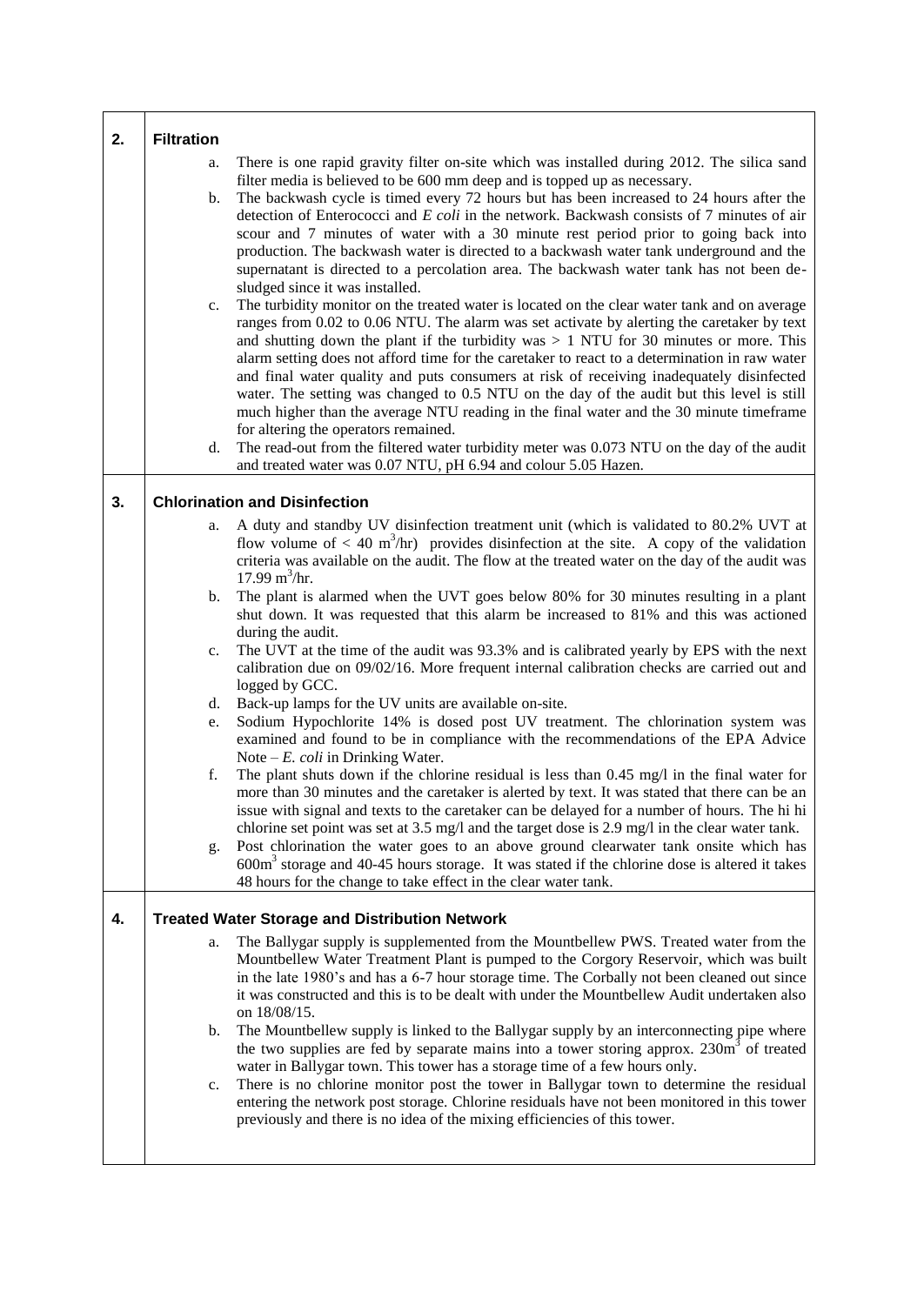| 2. | <b>Filtration</b>    |                                                                                                                                                                                                                                                                                                                                                                                                                                                                                                                                                                                                                                                                                                                                                                                                                                                                                                                                                                                                                                                                                                                                                                                                                                                                                                                                                                                                                                                                                                                                                                        |
|----|----------------------|------------------------------------------------------------------------------------------------------------------------------------------------------------------------------------------------------------------------------------------------------------------------------------------------------------------------------------------------------------------------------------------------------------------------------------------------------------------------------------------------------------------------------------------------------------------------------------------------------------------------------------------------------------------------------------------------------------------------------------------------------------------------------------------------------------------------------------------------------------------------------------------------------------------------------------------------------------------------------------------------------------------------------------------------------------------------------------------------------------------------------------------------------------------------------------------------------------------------------------------------------------------------------------------------------------------------------------------------------------------------------------------------------------------------------------------------------------------------------------------------------------------------------------------------------------------------|
|    | a.<br>b.<br>c.<br>d. | There is one rapid gravity filter on-site which was installed during 2012. The silica sand<br>filter media is believed to be 600 mm deep and is topped up as necessary.<br>The backwash cycle is timed every 72 hours but has been increased to 24 hours after the<br>detection of Enterococci and $E$ coli in the network. Backwash consists of 7 minutes of air<br>scour and 7 minutes of water with a 30 minute rest period prior to going back into<br>production. The backwash water is directed to a backwash water tank underground and the<br>supernatant is directed to a percolation area. The backwash water tank has not been de-<br>sludged since it was installed.<br>The turbidity monitor on the treated water is located on the clear water tank and on average<br>ranges from 0.02 to 0.06 NTU. The alarm was set activate by alerting the caretaker by text<br>and shutting down the plant if the turbidity was $> 1$ NTU for 30 minutes or more. This<br>alarm setting does not afford time for the caretaker to react to a determination in raw water<br>and final water quality and puts consumers at risk of receiving inadequately disinfected<br>water. The setting was changed to 0.5 NTU on the day of the audit but this level is still<br>much higher than the average NTU reading in the final water and the 30 minute timeframe<br>for altering the operators remained.<br>The read-out from the filtered water turbidity meter was 0.073 NTU on the day of the audit<br>and treated water was 0.07 NTU, pH 6.94 and colour 5.05 Hazen. |
| 3. |                      | <b>Chlorination and Disinfection</b>                                                                                                                                                                                                                                                                                                                                                                                                                                                                                                                                                                                                                                                                                                                                                                                                                                                                                                                                                                                                                                                                                                                                                                                                                                                                                                                                                                                                                                                                                                                                   |
|    | a.<br>b.<br>c.       | A duty and standby UV disinfection treatment unit (which is validated to 80.2% UVT at<br>flow volume of $<$ 40 m <sup>3</sup> /hr) provides disinfection at the site. A copy of the validation<br>criteria was available on the audit. The flow at the treated water on the day of the audit was<br>17.99 $m^3/hr$ .<br>The plant is alarmed when the UVT goes below 80% for 30 minutes resulting in a plant<br>shut down. It was requested that this alarm be increased to 81% and this was actioned<br>during the audit.<br>The UVT at the time of the audit was 93.3% and is calibrated yearly by EPS with the next                                                                                                                                                                                                                                                                                                                                                                                                                                                                                                                                                                                                                                                                                                                                                                                                                                                                                                                                                 |
|    | d.<br>e.<br>f.<br>g. | calibration due on 09/02/16. More frequent internal calibration checks are carried out and<br>logged by GCC.<br>Back-up lamps for the UV units are available on-site.<br>Sodium Hypochlorite 14% is dosed post UV treatment. The chlorination system was<br>examined and found to be in compliance with the recommendations of the EPA Advice<br>Note $-E$ . <i>coli</i> in Drinking Water.<br>The plant shuts down if the chlorine residual is less than $0.45 \text{ mg/l}$ in the final water for<br>more than 30 minutes and the caretaker is alerted by text. It was stated that there can be an<br>issue with signal and texts to the caretaker can be delayed for a number of hours. The hi hi<br>chlorine set point was set at 3.5 mg/l and the target dose is 2.9 mg/l in the clear water tank.<br>Post chlorination the water goes to an above ground clearwater tank onsite which has<br>$600m3$ storage and 40-45 hours storage. It was stated if the chlorine dose is altered it takes<br>48 hours for the change to take effect in the clear water tank.                                                                                                                                                                                                                                                                                                                                                                                                                                                                                                 |
| 4. |                      | <b>Treated Water Storage and Distribution Network</b>                                                                                                                                                                                                                                                                                                                                                                                                                                                                                                                                                                                                                                                                                                                                                                                                                                                                                                                                                                                                                                                                                                                                                                                                                                                                                                                                                                                                                                                                                                                  |
|    | a.<br>b.<br>c.       | The Ballygar supply is supplemented from the Mountbellew PWS. Treated water from the<br>Mountbellew Water Treatment Plant is pumped to the Corgory Reservoir, which was built<br>in the late 1980's and has a 6-7 hour storage time. The Corbally not been cleaned out since<br>it was constructed and this is to be dealt with under the Mountbellew Audit undertaken also<br>on 18/08/15.<br>The Mountbellew supply is linked to the Ballygar supply by an interconnecting pipe where<br>the two supplies are fed by separate mains into a tower storing approx. 230m <sup>3</sup> of treated<br>water in Ballygar town. This tower has a storage time of a few hours only.<br>There is no chlorine monitor post the tower in Ballygar town to determine the residual<br>entering the network post storage. Chlorine residuals have not been monitored in this tower<br>previously and there is no idea of the mixing efficiencies of this tower.                                                                                                                                                                                                                                                                                                                                                                                                                                                                                                                                                                                                                    |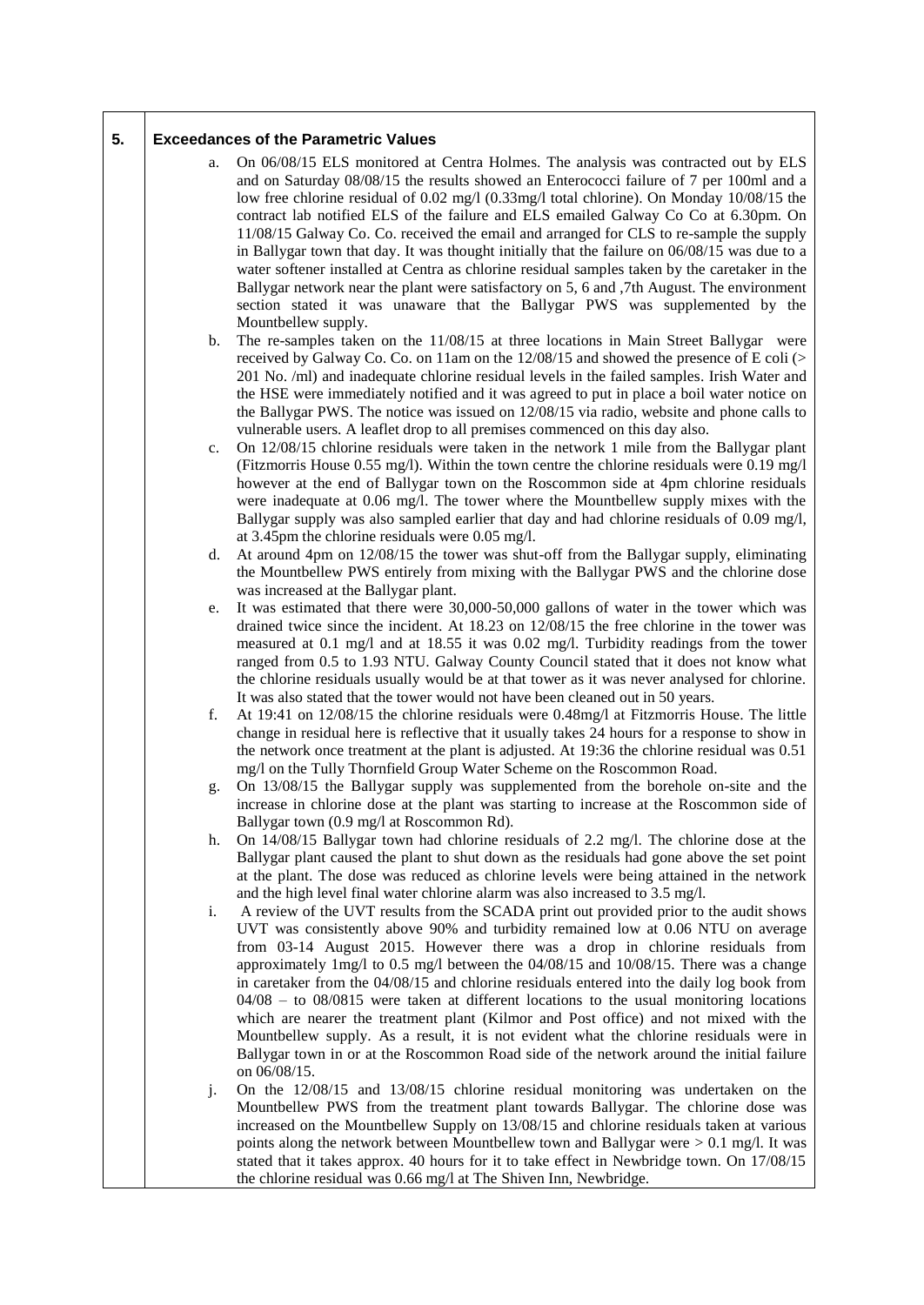| 5. |    | <b>Exceedances of the Parametric Values</b>                                                                                                                                                                                                                                                                                                                                                                                                                                                                                                                                                                                                                                                                                                                                                                                                   |
|----|----|-----------------------------------------------------------------------------------------------------------------------------------------------------------------------------------------------------------------------------------------------------------------------------------------------------------------------------------------------------------------------------------------------------------------------------------------------------------------------------------------------------------------------------------------------------------------------------------------------------------------------------------------------------------------------------------------------------------------------------------------------------------------------------------------------------------------------------------------------|
|    | a. | On 06/08/15 ELS monitored at Centra Holmes. The analysis was contracted out by ELS<br>and on Saturday 08/08/15 the results showed an Enterococci failure of 7 per 100ml and a<br>low free chlorine residual of 0.02 mg/l (0.33mg/l total chlorine). On Monday 10/08/15 the<br>contract lab notified ELS of the failure and ELS emailed Galway Co Co at 6.30pm. On<br>11/08/15 Galway Co. Co. received the email and arranged for CLS to re-sample the supply<br>in Ballygar town that day. It was thought initially that the failure on $06/08/15$ was due to a<br>water softener installed at Centra as chlorine residual samples taken by the caretaker in the<br>Ballygar network near the plant were satisfactory on 5, 6 and ,7th August. The environment<br>section stated it was unaware that the Ballygar PWS was supplemented by the |
|    | b. | Mountbellew supply.<br>The re-samples taken on the $11/08/15$ at three locations in Main Street Ballygar were<br>received by Galway Co. Co. on 11am on the 12/08/15 and showed the presence of E coli (><br>201 No. /ml) and inadequate chlorine residual levels in the failed samples. Irish Water and<br>the HSE were immediately notified and it was agreed to put in place a boil water notice on<br>the Ballygar PWS. The notice was issued on 12/08/15 via radio, website and phone calls to<br>vulnerable users. A leaflet drop to all premises commenced on this day also.                                                                                                                                                                                                                                                            |
|    | c. | On 12/08/15 chlorine residuals were taken in the network 1 mile from the Ballygar plant<br>(Fitzmorris House 0.55 mg/l). Within the town centre the chlorine residuals were 0.19 mg/l<br>however at the end of Ballygar town on the Roscommon side at 4pm chlorine residuals<br>were inadequate at 0.06 mg/l. The tower where the Mountbellew supply mixes with the<br>Ballygar supply was also sampled earlier that day and had chlorine residuals of 0.09 mg/l,<br>at 3.45pm the chlorine residuals were 0.05 mg/l.                                                                                                                                                                                                                                                                                                                         |
|    | d. | At around 4pm on 12/08/15 the tower was shut-off from the Ballygar supply, eliminating<br>the Mountbellew PWS entirely from mixing with the Ballygar PWS and the chlorine dose<br>was increased at the Ballygar plant.                                                                                                                                                                                                                                                                                                                                                                                                                                                                                                                                                                                                                        |
|    | e. | It was estimated that there were 30,000-50,000 gallons of water in the tower which was<br>drained twice since the incident. At $18.23$ on $12/08/15$ the free chlorine in the tower was<br>measured at 0.1 mg/l and at 18.55 it was 0.02 mg/l. Turbidity readings from the tower<br>ranged from 0.5 to 1.93 NTU. Galway County Council stated that it does not know what<br>the chlorine residuals usually would be at that tower as it was never analysed for chlorine.<br>It was also stated that the tower would not have been cleaned out in 50 years.                                                                                                                                                                                                                                                                                    |
|    | f. | At 19:41 on 12/08/15 the chlorine residuals were 0.48mg/l at Fitzmorris House. The little<br>change in residual here is reflective that it usually takes 24 hours for a response to show in<br>the network once treatment at the plant is adjusted. At 19:36 the chlorine residual was 0.51<br>mg/l on the Tully Thornfield Group Water Scheme on the Roscommon Road.                                                                                                                                                                                                                                                                                                                                                                                                                                                                         |
|    | g. | On 13/08/15 the Ballygar supply was supplemented from the borehole on-site and the<br>increase in chlorine dose at the plant was starting to increase at the Roscommon side of<br>Ballygar town (0.9 mg/l at Roscommon Rd).                                                                                                                                                                                                                                                                                                                                                                                                                                                                                                                                                                                                                   |
|    | h. | On 14/08/15 Ballygar town had chlorine residuals of 2.2 mg/l. The chlorine dose at the<br>Ballygar plant caused the plant to shut down as the residuals had gone above the set point<br>at the plant. The dose was reduced as chlorine levels were being attained in the network<br>and the high level final water chlorine alarm was also increased to 3.5 mg/l.                                                                                                                                                                                                                                                                                                                                                                                                                                                                             |
|    | i. | A review of the UVT results from the SCADA print out provided prior to the audit shows<br>UVT was consistently above 90% and turbidity remained low at 0.06 NTU on average<br>from 03-14 August 2015. However there was a drop in chlorine residuals from<br>approximately 1mg/l to 0.5 mg/l between the 04/08/15 and 10/08/15. There was a change<br>in caretaker from the $04/08/15$ and chlorine residuals entered into the daily log book from<br>$04/08$ – to 08/0815 were taken at different locations to the usual monitoring locations<br>which are nearer the treatment plant (Kilmor and Post office) and not mixed with the<br>Mountbellew supply. As a result, it is not evident what the chlorine residuals were in<br>Ballygar town in or at the Roscommon Road side of the network around the initial failure<br>on 06/08/15.  |
|    | j. | On the $12/08/15$ and $13/08/15$ chlorine residual monitoring was undertaken on the<br>Mountbellew PWS from the treatment plant towards Ballygar. The chlorine dose was<br>increased on the Mountbellew Supply on 13/08/15 and chlorine residuals taken at various<br>points along the network between Mountbellew town and Ballygar were $> 0.1$ mg/l. It was<br>stated that it takes approx. 40 hours for it to take effect in Newbridge town. On 17/08/15<br>the chlorine residual was 0.66 mg/l at The Shiven Inn, Newbridge.                                                                                                                                                                                                                                                                                                             |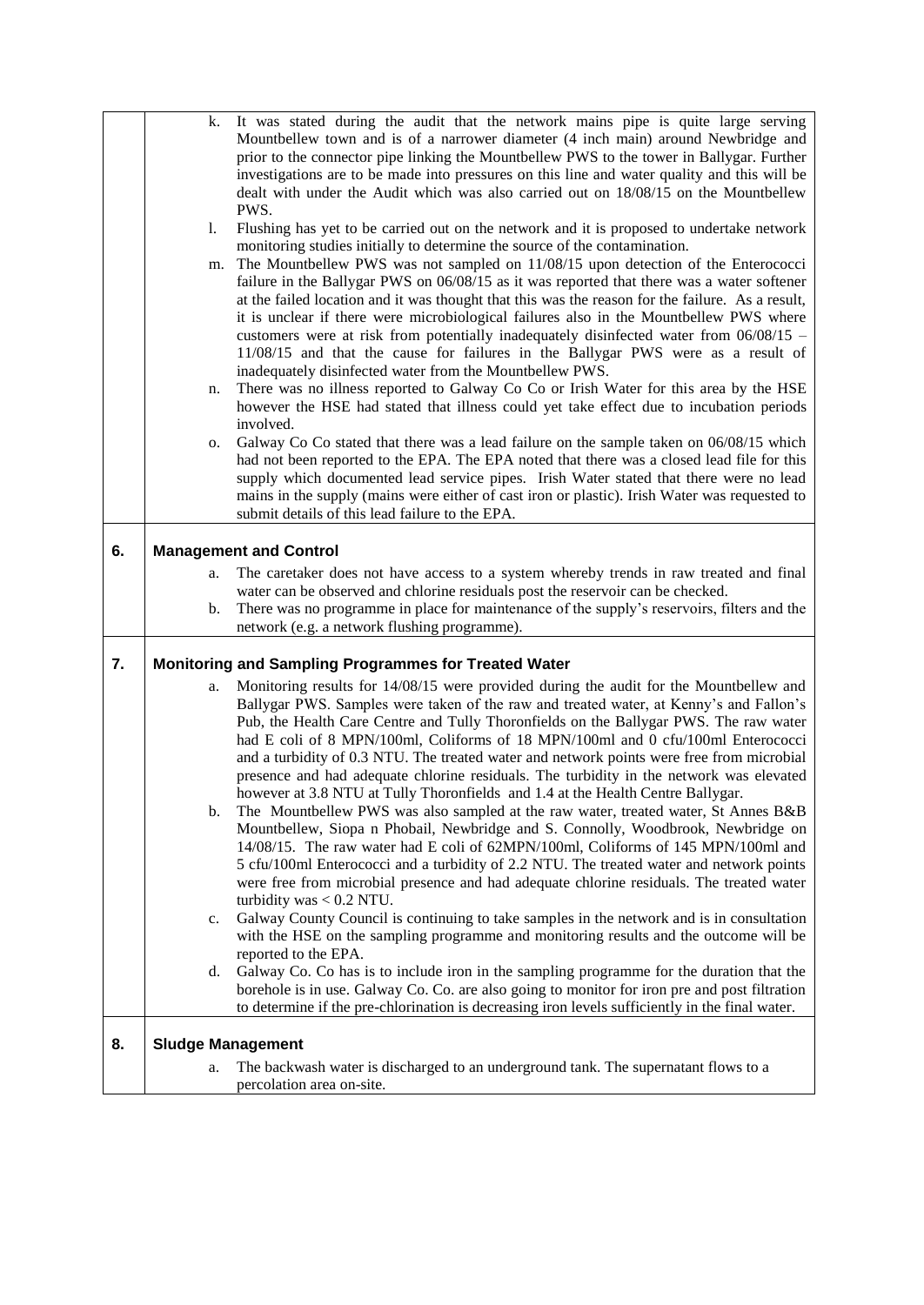|    | k.                       | It was stated during the audit that the network mains pipe is quite large serving                                |
|----|--------------------------|------------------------------------------------------------------------------------------------------------------|
|    |                          | Mountbellew town and is of a narrower diameter (4 inch main) around Newbridge and                                |
|    |                          | prior to the connector pipe linking the Mountbellew PWS to the tower in Ballygar. Further                        |
|    |                          | investigations are to be made into pressures on this line and water quality and this will be                     |
|    |                          | dealt with under the Audit which was also carried out on 18/08/15 on the Mountbellew                             |
|    |                          | PWS.                                                                                                             |
|    | 1.                       | Flushing has yet to be carried out on the network and it is proposed to undertake network                        |
|    |                          | monitoring studies initially to determine the source of the contamination.                                       |
|    | m.                       | The Mountbellew PWS was not sampled on 11/08/15 upon detection of the Enterococci                                |
|    |                          | failure in the Ballygar PWS on 06/08/15 as it was reported that there was a water softener                       |
|    |                          | at the failed location and it was thought that this was the reason for the failure. As a result,                 |
|    |                          | it is unclear if there were microbiological failures also in the Mountbellew PWS where                           |
|    |                          |                                                                                                                  |
|    |                          | customers were at risk from potentially inadequately disinfected water from 06/08/15 -                           |
|    |                          | 11/08/15 and that the cause for failures in the Ballygar PWS were as a result of                                 |
|    |                          | inadequately disinfected water from the Mountbellew PWS.                                                         |
|    | n.                       | There was no illness reported to Galway Co Co or Irish Water for this area by the HSE                            |
|    |                          | however the HSE had stated that illness could yet take effect due to incubation periods                          |
|    |                          | involved.                                                                                                        |
|    | о.                       | Galway Co Co stated that there was a lead failure on the sample taken on 06/08/15 which                          |
|    |                          | had not been reported to the EPA. The EPA noted that there was a closed lead file for this                       |
|    |                          | supply which documented lead service pipes. Irish Water stated that there were no lead                           |
|    |                          | mains in the supply (mains were either of cast iron or plastic). Irish Water was requested to                    |
|    |                          | submit details of this lead failure to the EPA.                                                                  |
|    |                          |                                                                                                                  |
| 6. |                          | <b>Management and Control</b>                                                                                    |
|    | a.                       | The caretaker does not have access to a system whereby trends in raw treated and final                           |
|    |                          | water can be observed and chlorine residuals post the reservoir can be checked.                                  |
|    |                          |                                                                                                                  |
|    | b.                       | There was no programme in place for maintenance of the supply's reservoirs, filters and the                      |
|    |                          | network (e.g. a network flushing programme).                                                                     |
|    |                          |                                                                                                                  |
| 7. |                          | <b>Monitoring and Sampling Programmes for Treated Water</b>                                                      |
|    | a.                       |                                                                                                                  |
|    |                          | Monitoring results for 14/08/15 were provided during the audit for the Mountbellew and                           |
|    |                          | Ballygar PWS. Samples were taken of the raw and treated water, at Kenny's and Fallon's                           |
|    |                          | Pub, the Health Care Centre and Tully Thoronfields on the Ballygar PWS. The raw water                            |
|    |                          | had E coli of 8 MPN/100ml, Coliforms of 18 MPN/100ml and 0 cfu/100ml Enterococci                                 |
|    |                          | and a turbidity of 0.3 NTU. The treated water and network points were free from microbial                        |
|    |                          | presence and had adequate chlorine residuals. The turbidity in the network was elevated                          |
|    |                          | however at 3.8 NTU at Tully Thoronfields and 1.4 at the Health Centre Ballygar.                                  |
|    | b.                       | The Mountbellew PWS was also sampled at the raw water, treated water, St Annes B&B                               |
|    |                          | Mountbellew, Siopa n Phobail, Newbridge and S. Connolly, Woodbrook, Newbridge on                                 |
|    |                          | 14/08/15. The raw water had E coli of 62MPN/100ml, Coliforms of 145 MPN/100ml and                                |
|    |                          | 5 cfu/100ml Enterococci and a turbidity of 2.2 NTU. The treated water and network points                         |
|    |                          | were free from microbial presence and had adequate chlorine residuals. The treated water                         |
|    |                          | turbidity was $< 0.2$ NTU.                                                                                       |
|    | c.                       | Galway County Council is continuing to take samples in the network and is in consultation                        |
|    |                          | with the HSE on the sampling programme and monitoring results and the outcome will be                            |
|    |                          | reported to the EPA.                                                                                             |
|    | d.                       | Galway Co. Co has is to include iron in the sampling programme for the duration that the                         |
|    |                          | borehole is in use. Galway Co. Co. are also going to monitor for iron pre and post filtration                    |
|    |                          | to determine if the pre-chlorination is decreasing iron levels sufficiently in the final water.                  |
|    |                          |                                                                                                                  |
| 8. | <b>Sludge Management</b> |                                                                                                                  |
|    | a.                       | The backwash water is discharged to an underground tank. The supernatant flows to a<br>percolation area on-site. |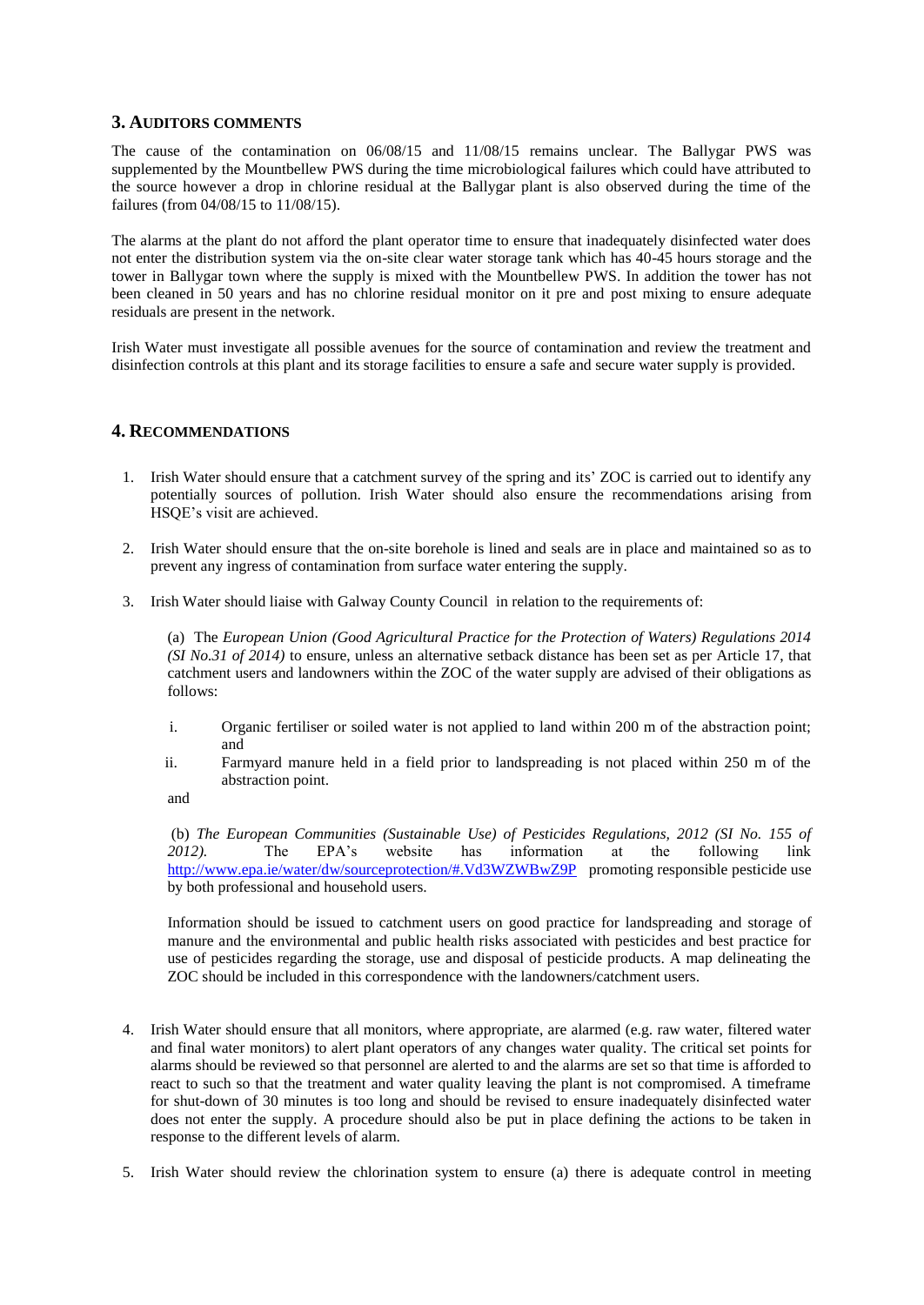## **3. AUDITORS COMMENTS**

The cause of the contamination on 06/08/15 and 11/08/15 remains unclear. The Ballygar PWS was supplemented by the Mountbellew PWS during the time microbiological failures which could have attributed to the source however a drop in chlorine residual at the Ballygar plant is also observed during the time of the failures (from 04/08/15 to 11/08/15).

The alarms at the plant do not afford the plant operator time to ensure that inadequately disinfected water does not enter the distribution system via the on-site clear water storage tank which has 40-45 hours storage and the tower in Ballygar town where the supply is mixed with the Mountbellew PWS. In addition the tower has not been cleaned in 50 years and has no chlorine residual monitor on it pre and post mixing to ensure adequate residuals are present in the network.

Irish Water must investigate all possible avenues for the source of contamination and review the treatment and disinfection controls at this plant and its storage facilities to ensure a safe and secure water supply is provided.

#### **4. RECOMMENDATIONS**

- 1. Irish Water should ensure that a catchment survey of the spring and its' ZOC is carried out to identify any potentially sources of pollution. Irish Water should also ensure the recommendations arising from HSQE's visit are achieved.
- 2. Irish Water should ensure that the on-site borehole is lined and seals are in place and maintained so as to prevent any ingress of contamination from surface water entering the supply.
- 3. Irish Water should liaise with Galway County Council in relation to the requirements of:

(a) The *European Union (Good Agricultural Practice for the Protection of Waters) Regulations 2014 (SI No.31 of 2014)* to ensure, unless an alternative setback distance has been set as per Article 17, that catchment users and landowners within the ZOC of the water supply are advised of their obligations as follows:

- i. Organic fertiliser or soiled water is not applied to land within 200 m of the abstraction point; and
- ii. Farmyard manure held in a field prior to landspreading is not placed within 250 m of the abstraction point.

and

(b) *The European Communities (Sustainable Use) of Pesticides Regulations, 2012 (SI No. 155 of 2012).* The EPA's website has information at the following link <http://www.epa.ie/water/dw/sourceprotection/#.Vd3WZWBwZ9P>promoting responsible pesticide use by both professional and household users.

Information should be issued to catchment users on good practice for landspreading and storage of manure and the environmental and public health risks associated with pesticides and best practice for use of pesticides regarding the storage, use and disposal of pesticide products. A map delineating the ZOC should be included in this correspondence with the landowners/catchment users.

- 4. Irish Water should ensure that all monitors, where appropriate, are alarmed (e.g. raw water, filtered water and final water monitors) to alert plant operators of any changes water quality. The critical set points for alarms should be reviewed so that personnel are alerted to and the alarms are set so that time is afforded to react to such so that the treatment and water quality leaving the plant is not compromised. A timeframe for shut-down of 30 minutes is too long and should be revised to ensure inadequately disinfected water does not enter the supply. A procedure should also be put in place defining the actions to be taken in response to the different levels of alarm.
- 5. Irish Water should review the chlorination system to ensure (a) there is adequate control in meeting